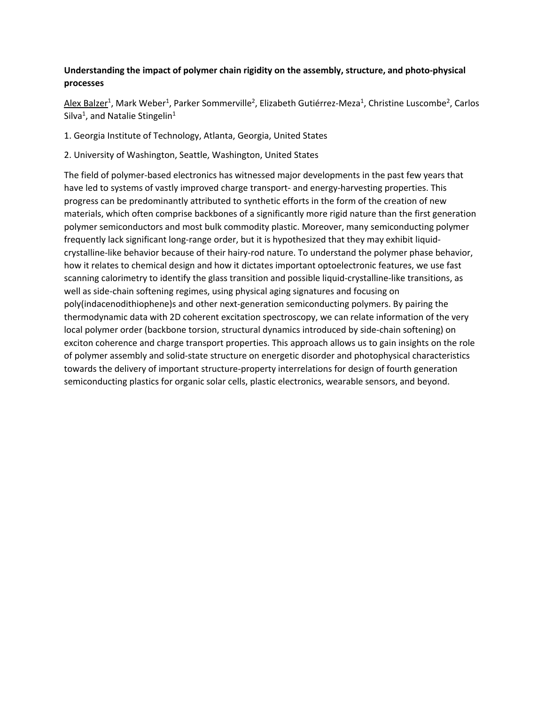## **[Understanding the impact of polymer chain rigidity on the assembly, structure, and photo-physical](https://acs.digitellinc.com/acs/live/8/page/18/6?eventSearchInput=Excellence%20in%20Graduate%20Polymer%20Research&eventSearchDate=0&eventSearchTrack=201&eventSearchTag=0#sessionCollapse40041)  [processes](https://acs.digitellinc.com/acs/live/8/page/18/6?eventSearchInput=Excellence%20in%20Graduate%20Polymer%20Research&eventSearchDate=0&eventSearchTrack=201&eventSearchTag=0#sessionCollapse40041)**

[Alex Balzer](https://acs.digitellinc.com/acs/live/8/page/18/6?eventSearchInput=Excellence%20in%20Graduate%20Polymer%20Research&eventSearchDate=0&eventSearchTrack=201&eventSearchTag=0)<sup>1</sup>, [Mark Weber](https://acs.digitellinc.com/acs/live/8/page/18/6?eventSearchInput=Excellence%20in%20Graduate%20Polymer%20Research&eventSearchDate=0&eventSearchTrack=201&eventSearchTag=0)<sup>1</sup>[, Parker Sommerville](https://acs.digitellinc.com/acs/live/8/page/18/6?eventSearchInput=Excellence%20in%20Graduate%20Polymer%20Research&eventSearchDate=0&eventSearchTrack=201&eventSearchTag=0)<sup>2</sup>[, Elizabeth Gutiérrez-Mez](https://acs.digitellinc.com/acs/live/8/page/18/6?eventSearchInput=Excellence%20in%20Graduate%20Polymer%20Research&eventSearchDate=0&eventSearchTrack=201&eventSearchTag=0)a<sup>1</sup>[, Christine Luscomb](https://acs.digitellinc.com/acs/live/8/page/18/6?eventSearchInput=Excellence%20in%20Graduate%20Polymer%20Research&eventSearchDate=0&eventSearchTrack=201&eventSearchTag=0)e<sup>2</sup>, Carlos [Silva](https://acs.digitellinc.com/acs/live/8/page/18/6?eventSearchInput=Excellence%20in%20Graduate%20Polymer%20Research&eventSearchDate=0&eventSearchTrack=201&eventSearchTag=0)<sup>1</sup>, an[d Natalie Stingelin](https://acs.digitellinc.com/acs/live/8/page/18/6?eventSearchInput=Excellence%20in%20Graduate%20Polymer%20Research&eventSearchDate=0&eventSearchTrack=201&eventSearchTag=0)<sup>1</sup>

1. Georgia Institute of Technology, Atlanta, Georgia, United States

2. University of Washington, Seattle, Washington, United States

The field of polymer-based electronics has witnessed major developments in the past few years that have led to systems of vastly improved charge transport- and energy-harvesting properties. This progress can be predominantly attributed to synthetic efforts in the form of the creation of new materials, which often comprise backbones of a significantly more rigid nature than the first generation polymer semiconductors and most bulk commodity plastic. Moreover, many semiconducting polymer frequently lack significant long-range order, but it is hypothesized that they may exhibit liquidcrystalline-like behavior because of their hairy-rod nature. To understand the polymer phase behavior, how it relates to chemical design and how it dictates important optoelectronic features, we use fast scanning calorimetry to identify the glass transition and possible liquid-crystalline-like transitions, as well as side-chain softening regimes, using physical aging signatures and focusing on poly(indacenodithiophene)s and other next-generation semiconducting polymers. By pairing the thermodynamic data with 2D coherent excitation spectroscopy, we can relate information of the very local polymer order (backbone torsion, structural dynamics introduced by side-chain softening) on exciton coherence and charge transport properties. This approach allows us to gain insights on the role of polymer assembly and solid-state structure on energetic disorder and photophysical characteristics towards the delivery of important structure-property interrelations for design of fourth generation semiconducting plastics for organic solar cells, plastic electronics, wearable sensors, and beyond.